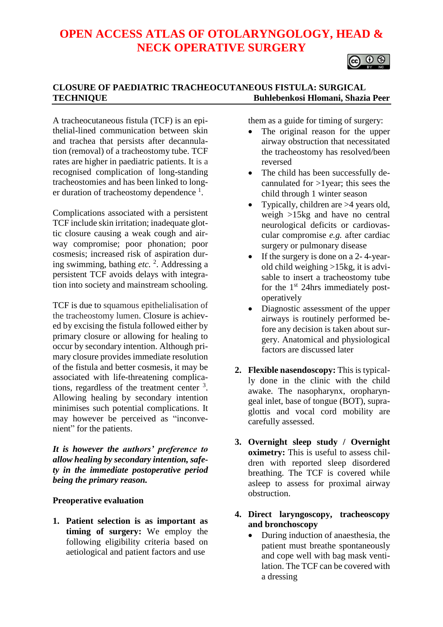# **OPEN ACCESS ATLAS OF OTOLARYNGOLOGY, HEAD & NECK OPERATIVE SURGERY**



## **CLOSURE OF PAEDIATRIC TRACHEOCUTANEOUS FISTULA: SURGICAL TECHNIQUE Buhlebenkosi Hlomani, Shazia Peer**

A tracheocutaneous fistula (TCF) is an epithelial-lined communication between skin and trachea that persists after decannulation (removal) of a tracheostomy tube. TCF rates are higher in paediatric patients. It is a recognised complication of long-standing tracheostomies and has been linked to longer duration of tracheostomy dependence <sup>1</sup>.

Complications associated with a persistent TCF include skin irritation; inadequate glottic closure causing a weak cough and airway compromise; poor phonation; poor cosmesis; increased risk of aspiration during swimming, bathing *etc.* 2 . Addressing a persistent TCF avoids delays with integration into society and mainstream schooling.

TCF is due to squamous epithelialisation of the tracheostomy lumen. Closure is achieved by excising the fistula followed either by primary closure or allowing for healing to occur by secondary intention. Although primary closure provides immediate resolution of the fistula and better cosmesis, it may be associated with life-threatening complications, regardless of the treatment center  $3$ . Allowing healing by secondary intention minimises such potential complications. It may however be perceived as "inconvenient" for the patients.

*It is however the authors' preference to allow healing by secondary intention, safety in the immediate postoperative period being the primary reason.*

## **Preoperative evaluation**

**1. Patient selection is as important as timing of surgery:** We employ the following eligibility criteria based on aetiological and patient factors and use

them as a guide for timing of surgery:

- The original reason for the upper airway obstruction that necessitated the tracheostomy has resolved/been reversed
- The child has been successfully decannulated for >1year; this sees the child through 1 winter season
- Typically, children are >4 years old, weigh >15kg and have no central neurological deficits or cardiovascular compromise *e.g.* after cardiac surgery or pulmonary disease
- If the surgery is done on a 2-4-yearold child weighing >15kg, it is advisable to insert a tracheostomy tube for the 1<sup>st</sup> 24hrs immediately postoperatively
- Diagnostic assessment of the upper airways is routinely performed before any decision is taken about surgery. Anatomical and physiological factors are discussed later
- **2. Flexible nasendoscopy:** This is typically done in the clinic with the child awake. The nasopharynx, oropharyngeal inlet, base of tongue (BOT), supraglottis and vocal cord mobility are carefully assessed.
- **3. Overnight sleep study / Overnight oximetry:** This is useful to assess children with reported sleep disordered breathing. The TCF is covered while asleep to assess for proximal airway obstruction.
- **4. Direct laryngoscopy, tracheoscopy and bronchoscopy**
	- During induction of anaesthesia, the patient must breathe spontaneously and cope well with bag mask ventilation. The TCF can be covered with a dressing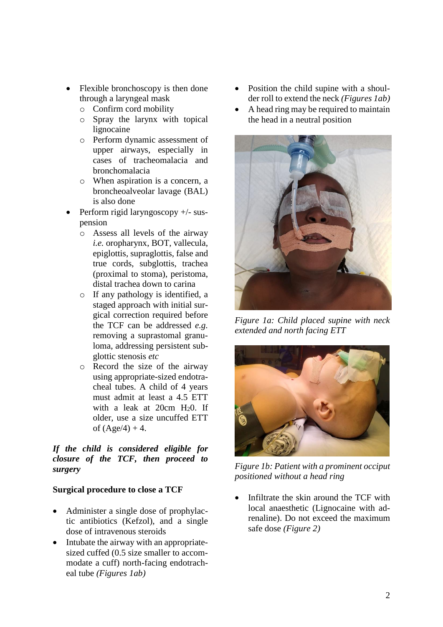- Flexible bronchoscopy is then done through a laryngeal mask
	- o Confirm cord mobility
	- o Spray the larynx with topical lignocaine
	- o Perform dynamic assessment of upper airways, especially in cases of tracheomalacia and bronchomalacia
	- o When aspiration is a concern, a broncheoalveolar lavage (BAL) is also done
- Perform rigid laryngoscopy +/- suspension
	- o Assess all levels of the airway *i.e.* oropharynx, BOT, vallecula, epiglottis, supraglottis, false and true cords, subglottis, trachea (proximal to stoma), peristoma, distal trachea down to carina
	- o If any pathology is identified, a staged approach with initial surgical correction required before the TCF can be addressed *e.g.* removing a suprastomal granuloma, addressing persistent subglottic stenosis *etc*
	- o Record the size of the airway using appropriate-sized endotracheal tubes. A child of 4 years must admit at least a 4.5 ETT with a leak at  $20cm$  H<sub>2</sub>0. If older, use a size uncuffed ETT of  $(Age/4) + 4$ .

## *If the child is considered eligible for closure of the TCF, then proceed to surgery*

# **Surgical procedure to close a TCF**

- Administer a single dose of prophylactic antibiotics (Kefzol), and a single dose of intravenous steroids
- Intubate the airway with an appropriatesized cuffed (0.5 size smaller to accommodate a cuff) north-facing endotracheal tube *(Figures 1ab)*
- Position the child supine with a shoulder roll to extend the neck *(Figures 1ab)*
- A head ring may be required to maintain the head in a neutral position



*Figure 1a: Child placed supine with neck extended and north facing ETT*



*Figure 1b: Patient with a prominent occiput positioned without a head ring* 

Infiltrate the skin around the TCF with local anaesthetic (Lignocaine with adrenaline). Do not exceed the maximum safe dose *(Figure 2)*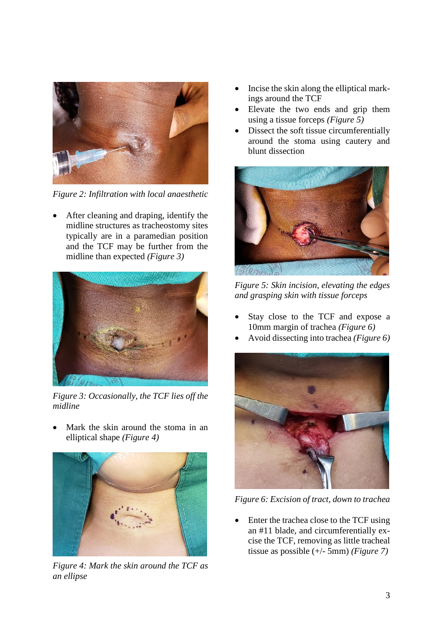

*Figure 2: Infiltration with local anaesthetic*

• After cleaning and draping, identify the midline structures as tracheostomy sites typically are in a paramedian position and the TCF may be further from the midline than expected *(Figure 3)*



*Figure 3: Occasionally, the TCF lies off the midline*

Mark the skin around the stoma in an elliptical shape *(Figure 4)*



*Figure 4: Mark the skin around the TCF as an ellipse* 

- Incise the skin along the elliptical markings around the TCF
- Elevate the two ends and grip them using a tissue forceps *(Figure 5)*
- Dissect the soft tissue circumferentially around the stoma using cautery and blunt dissection



*Figure 5: Skin incision, elevating the edges and grasping skin with tissue forceps*

- Stay close to the TCF and expose a 10mm margin of trachea *(Figure 6)*
- Avoid dissecting into trachea *(Figure 6)*



*Figure 6: Excision of tract, down to trachea*

• Enter the trachea close to the TCF using an #11 blade, and circumferentially excise the TCF, removing as little tracheal tissue as possible (+/- 5mm) *(Figure 7)*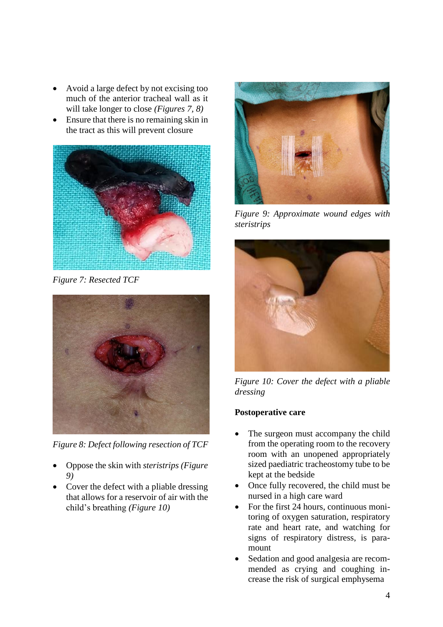- Avoid a large defect by not excising too much of the anterior tracheal wall as it will take longer to close *(Figures 7, 8)*
- Ensure that there is no remaining skin in the tract as this will prevent closure



*Figure 7: Resected TCF*



*Figure 8: Defect following resection of TCF*

- Oppose the skin with *steristrips (Figure 9)*
- Cover the defect with a pliable dressing that allows for a reservoir of air with the child's breathing *(Figure 10)*



*Figure 9: Approximate wound edges with steristrips*



*Figure 10: Cover the defect with a pliable dressing*

# **Postoperative care**

- The surgeon must accompany the child from the operating room to the recovery room with an unopened appropriately sized paediatric tracheostomy tube to be kept at the bedside
- Once fully recovered, the child must be nursed in a high care ward
- For the first 24 hours, continuous monitoring of oxygen saturation, respiratory rate and heart rate, and watching for signs of respiratory distress, is paramount
- Sedation and good analgesia are recommended as crying and coughing increase the risk of surgical emphysema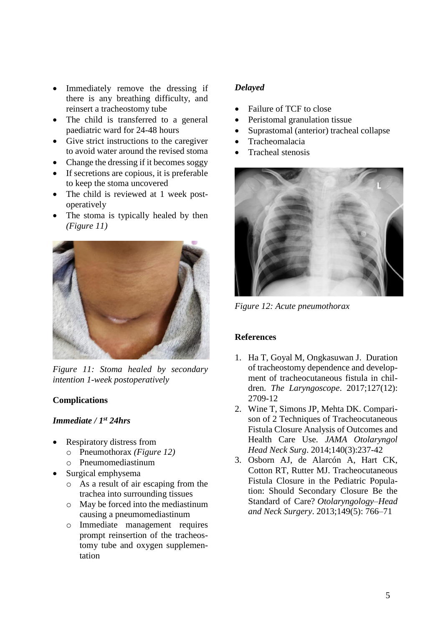- Immediately remove the dressing if there is any breathing difficulty, and reinsert a tracheostomy tube
- The child is transferred to a general paediatric ward for 24-48 hours
- Give strict instructions to the caregiver to avoid water around the revised stoma
- Change the dressing if it becomes soggy
- If secretions are copious, it is preferable to keep the stoma uncovered
- The child is reviewed at 1 week postoperatively
- The stoma is typically healed by then *(Figure 11)*



*Figure 11: Stoma healed by secondary intention 1-week postoperatively*

## **Complications**

#### *Immediate / 1st 24hrs*

- Respiratory distress from
	- o Pneumothorax *(Figure 12)*
	- o Pneumomediastinum
- Surgical emphysema
	- o As a result of air escaping from the trachea into surrounding tissues
	- o May be forced into the mediastinum causing a pneumomediastinum
	- o Immediate management requires prompt reinsertion of the tracheostomy tube and oxygen supplementation

## *Delayed*

- Failure of TCF to close
- Peristomal granulation tissue
- Suprastomal (anterior) tracheal collapse
- Tracheomalacia
- Tracheal stenosis



*Figure 12: Acute pneumothorax*

### **References**

- 1. Ha T, Goyal M, Ongkasuwan J. Duration of tracheostomy dependence and development of tracheocutaneous fistula in children. *The Laryngoscope*. 2017;127(12): 2709-12
- 2. Wine T, Simons JP, Mehta DK. Comparison of 2 Techniques of Tracheocutaneous Fistula Closure Analysis of Outcomes and Health Care Use. *JAMA Otolaryngol Head Neck Surg*. 2014;140(3):237-42
- 3. Osborn AJ, de Alarcón A, Hart CK, Cotton RT, Rutter MJ. Tracheocutaneous Fistula Closure in the Pediatric Population: Should Secondary Closure Be the Standard of Care? *Otolaryngology–Head and Neck Surgery*. 2013;149(5): 766–71